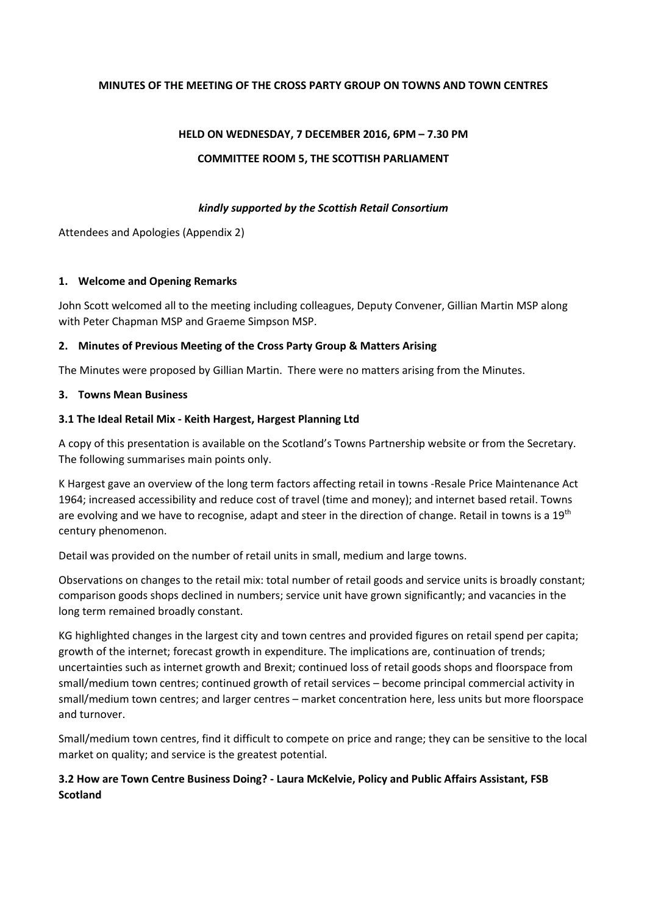#### **MINUTES OF THE MEETING OF THE CROSS PARTY GROUP ON TOWNS AND TOWN CENTRES**

# **HELD ON WEDNESDAY, 7 DECEMBER 2016, 6PM – 7.30 PM COMMITTEE ROOM 5, THE SCOTTISH PARLIAMENT**

#### *kindly supported by the Scottish Retail Consortium*

Attendees and Apologies (Appendix 2)

#### **1. Welcome and Opening Remarks**

John Scott welcomed all to the meeting including colleagues, Deputy Convener, Gillian Martin MSP along with Peter Chapman MSP and Graeme Simpson MSP.

### **2. Minutes of Previous Meeting of the Cross Party Group & Matters Arising**

The Minutes were proposed by Gillian Martin. There were no matters arising from the Minutes.

#### **3. Towns Mean Business**

### **3.1 The Ideal Retail Mix - Keith Hargest, Hargest Planning Ltd**

A copy of this presentation is available on the Scotland's Towns Partnership website or from the Secretary. The following summarises main points only.

K Hargest gave an overview of the long term factors affecting retail in towns -Resale Price Maintenance Act 1964; increased accessibility and reduce cost of travel (time and money); and internet based retail. Towns are evolving and we have to recognise, adapt and steer in the direction of change. Retail in towns is a 19<sup>th</sup> century phenomenon.

Detail was provided on the number of retail units in small, medium and large towns.

Observations on changes to the retail mix: total number of retail goods and service units is broadly constant; comparison goods shops declined in numbers; service unit have grown significantly; and vacancies in the long term remained broadly constant.

KG highlighted changes in the largest city and town centres and provided figures on retail spend per capita; growth of the internet; forecast growth in expenditure. The implications are, continuation of trends; uncertainties such as internet growth and Brexit; continued loss of retail goods shops and floorspace from small/medium town centres; continued growth of retail services – become principal commercial activity in small/medium town centres; and larger centres – market concentration here, less units but more floorspace and turnover.

Small/medium town centres, find it difficult to compete on price and range; they can be sensitive to the local market on quality; and service is the greatest potential.

# **3.2 How are Town Centre Business Doing? - Laura McKelvie, Policy and Public Affairs Assistant, FSB Scotland**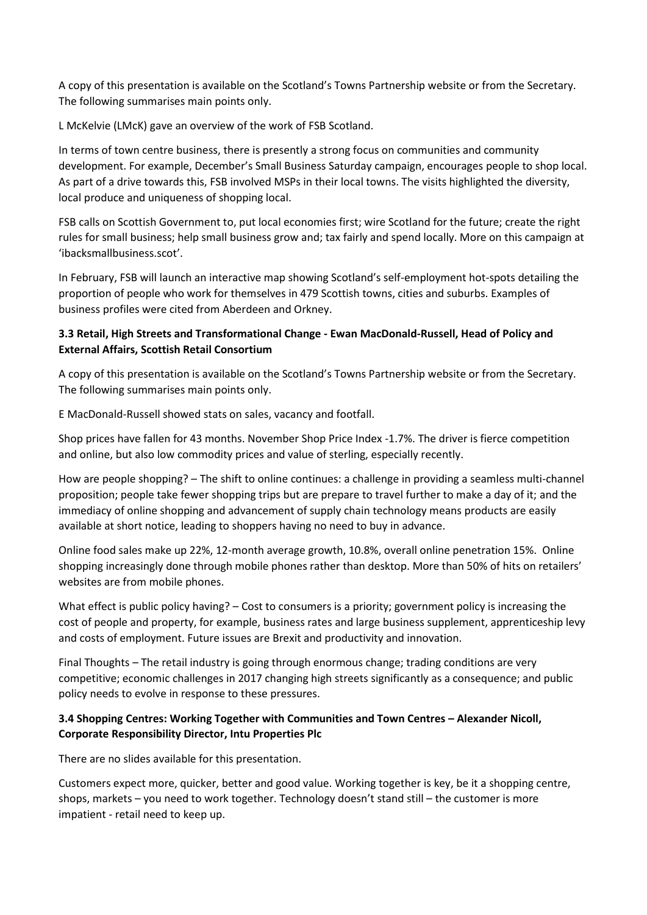A copy of this presentation is available on the Scotland's Towns Partnership website or from the Secretary. The following summarises main points only.

L McKelvie (LMcK) gave an overview of the work of FSB Scotland.

In terms of town centre business, there is presently a strong focus on communities and community development. For example, December's Small Business Saturday campaign, encourages people to shop local. As part of a drive towards this, FSB involved MSPs in their local towns. The visits highlighted the diversity, local produce and uniqueness of shopping local.

FSB calls on Scottish Government to, put local economies first; wire Scotland for the future; create the right rules for small business; help small business grow and; tax fairly and spend locally. More on this campaign at 'ibacksmallbusiness.scot'.

In February, FSB will launch an interactive map showing Scotland's self-employment hot-spots detailing the proportion of people who work for themselves in 479 Scottish towns, cities and suburbs. Examples of business profiles were cited from Aberdeen and Orkney.

# **3.3 Retail, High Streets and Transformational Change - Ewan MacDonald-Russell, Head of Policy and External Affairs, Scottish Retail Consortium**

A copy of this presentation is available on the Scotland's Towns Partnership website or from the Secretary. The following summarises main points only.

E MacDonald-Russell showed stats on sales, vacancy and footfall.

Shop prices have fallen for 43 months. November Shop Price Index -1.7%. The driver is fierce competition and online, but also low commodity prices and value of sterling, especially recently.

How are people shopping? – The shift to online continues: a challenge in providing a seamless multi-channel proposition; people take fewer shopping trips but are prepare to travel further to make a day of it; and the immediacy of online shopping and advancement of supply chain technology means products are easily available at short notice, leading to shoppers having no need to buy in advance.

Online food sales make up 22%, 12-month average growth, 10.8%, overall online penetration 15%. Online shopping increasingly done through mobile phones rather than desktop. More than 50% of hits on retailers' websites are from mobile phones.

What effect is public policy having? – Cost to consumers is a priority; government policy is increasing the cost of people and property, for example, business rates and large business supplement, apprenticeship levy and costs of employment. Future issues are Brexit and productivity and innovation.

Final Thoughts – The retail industry is going through enormous change; trading conditions are very competitive; economic challenges in 2017 changing high streets significantly as a consequence; and public policy needs to evolve in response to these pressures.

# **3.4 Shopping Centres: Working Together with Communities and Town Centres – Alexander Nicoll, Corporate Responsibility Director, Intu Properties Plc**

There are no slides available for this presentation.

Customers expect more, quicker, better and good value. Working together is key, be it a shopping centre, shops, markets – you need to work together. Technology doesn't stand still – the customer is more impatient - retail need to keep up.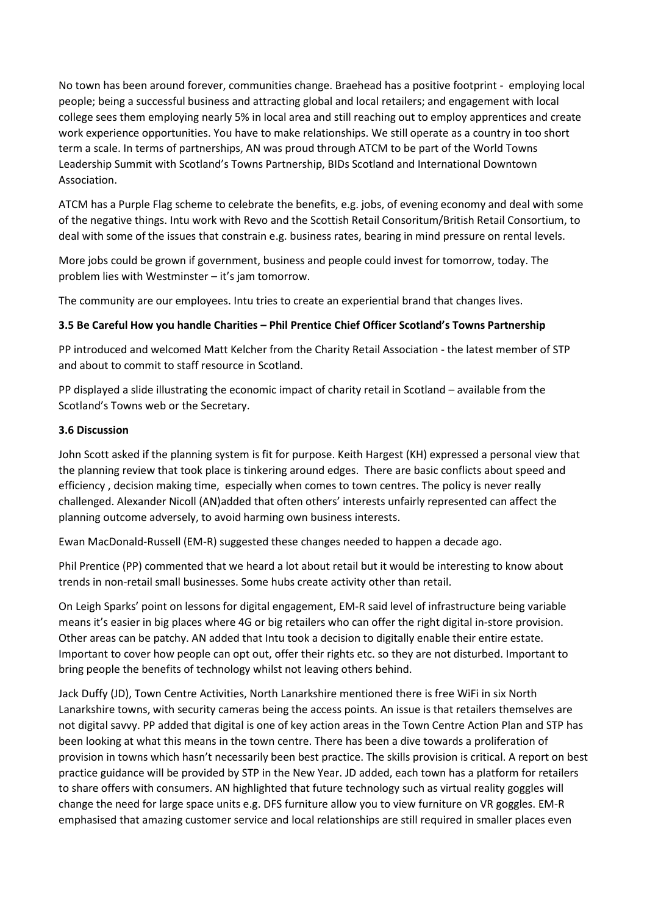No town has been around forever, communities change. Braehead has a positive footprint - employing local people; being a successful business and attracting global and local retailers; and engagement with local college sees them employing nearly 5% in local area and still reaching out to employ apprentices and create work experience opportunities. You have to make relationships. We still operate as a country in too short term a scale. In terms of partnerships, AN was proud through ATCM to be part of the World Towns Leadership Summit with Scotland's Towns Partnership, BIDs Scotland and International Downtown Association.

ATCM has a Purple Flag scheme to celebrate the benefits, e.g. jobs, of evening economy and deal with some of the negative things. Intu work with Revo and the Scottish Retail Consoritum/British Retail Consortium, to deal with some of the issues that constrain e.g. business rates, bearing in mind pressure on rental levels.

More jobs could be grown if government, business and people could invest for tomorrow, today. The problem lies with Westminster – it's jam tomorrow.

The community are our employees. Intu tries to create an experiential brand that changes lives.

#### **3.5 Be Careful How you handle Charities – Phil Prentice Chief Officer Scotland's Towns Partnership**

PP introduced and welcomed Matt Kelcher from the Charity Retail Association - the latest member of STP and about to commit to staff resource in Scotland.

PP displayed a slide illustrating the economic impact of charity retail in Scotland – available from the Scotland's Towns web or the Secretary.

#### **3.6 Discussion**

John Scott asked if the planning system is fit for purpose. Keith Hargest (KH) expressed a personal view that the planning review that took place is tinkering around edges. There are basic conflicts about speed and efficiency , decision making time, especially when comes to town centres. The policy is never really challenged. Alexander Nicoll (AN)added that often others' interests unfairly represented can affect the planning outcome adversely, to avoid harming own business interests.

Ewan MacDonald-Russell (EM-R) suggested these changes needed to happen a decade ago.

Phil Prentice (PP) commented that we heard a lot about retail but it would be interesting to know about trends in non-retail small businesses. Some hubs create activity other than retail.

On Leigh Sparks' point on lessons for digital engagement, EM-R said level of infrastructure being variable means it's easier in big places where 4G or big retailers who can offer the right digital in-store provision. Other areas can be patchy. AN added that Intu took a decision to digitally enable their entire estate. Important to cover how people can opt out, offer their rights etc. so they are not disturbed. Important to bring people the benefits of technology whilst not leaving others behind.

Jack Duffy (JD), Town Centre Activities, North Lanarkshire mentioned there is free WiFi in six North Lanarkshire towns, with security cameras being the access points. An issue is that retailers themselves are not digital savvy. PP added that digital is one of key action areas in the Town Centre Action Plan and STP has been looking at what this means in the town centre. There has been a dive towards a proliferation of provision in towns which hasn't necessarily been best practice. The skills provision is critical. A report on best practice guidance will be provided by STP in the New Year. JD added, each town has a platform for retailers to share offers with consumers. AN highlighted that future technology such as virtual reality goggles will change the need for large space units e.g. DFS furniture allow you to view furniture on VR goggles. EM-R emphasised that amazing customer service and local relationships are still required in smaller places even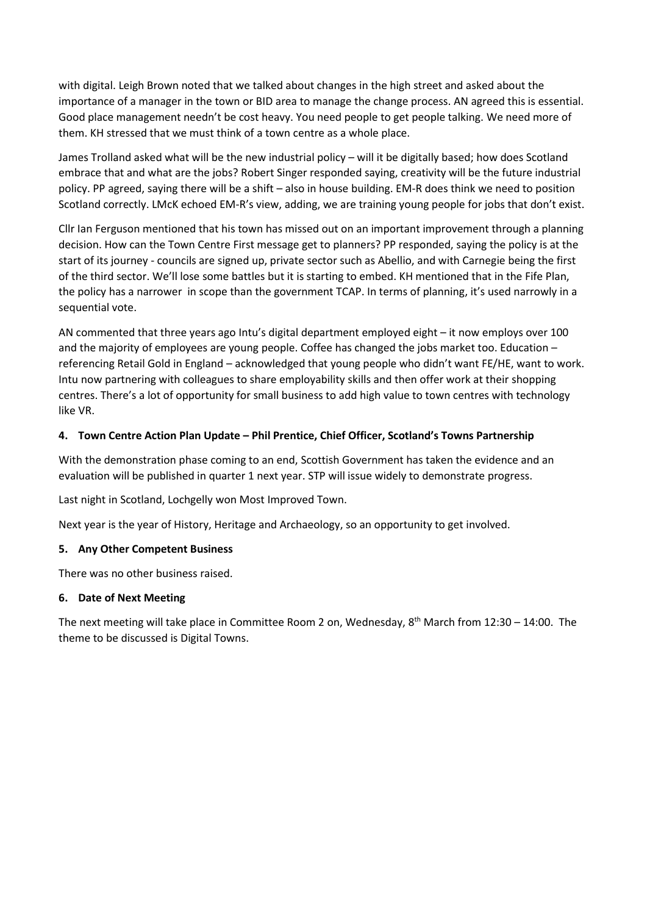with digital. Leigh Brown noted that we talked about changes in the high street and asked about the importance of a manager in the town or BID area to manage the change process. AN agreed this is essential. Good place management needn't be cost heavy. You need people to get people talking. We need more of them. KH stressed that we must think of a town centre as a whole place.

James Trolland asked what will be the new industrial policy – will it be digitally based; how does Scotland embrace that and what are the jobs? Robert Singer responded saying, creativity will be the future industrial policy. PP agreed, saying there will be a shift – also in house building. EM-R does think we need to position Scotland correctly. LMcK echoed EM-R's view, adding, we are training young people for jobs that don't exist.

Cllr Ian Ferguson mentioned that his town has missed out on an important improvement through a planning decision. How can the Town Centre First message get to planners? PP responded, saying the policy is at the start of its journey - councils are signed up, private sector such as Abellio, and with Carnegie being the first of the third sector. We'll lose some battles but it is starting to embed. KH mentioned that in the Fife Plan, the policy has a narrower in scope than the government TCAP. In terms of planning, it's used narrowly in a sequential vote.

AN commented that three years ago Intu's digital department employed eight – it now employs over 100 and the majority of employees are young people. Coffee has changed the jobs market too. Education – referencing Retail Gold in England – acknowledged that young people who didn't want FE/HE, want to work. Intu now partnering with colleagues to share employability skills and then offer work at their shopping centres. There's a lot of opportunity for small business to add high value to town centres with technology like VR.

### **4. Town Centre Action Plan Update – Phil Prentice, Chief Officer, Scotland's Towns Partnership**

With the demonstration phase coming to an end, Scottish Government has taken the evidence and an evaluation will be published in quarter 1 next year. STP will issue widely to demonstrate progress.

Last night in Scotland, Lochgelly won Most Improved Town.

Next year is the year of History, Heritage and Archaeology, so an opportunity to get involved.

#### **5. Any Other Competent Business**

There was no other business raised.

#### **6. Date of Next Meeting**

The next meeting will take place in Committee Room 2 on, Wednesday, 8<sup>th</sup> March from 12:30 - 14:00. The theme to be discussed is Digital Towns.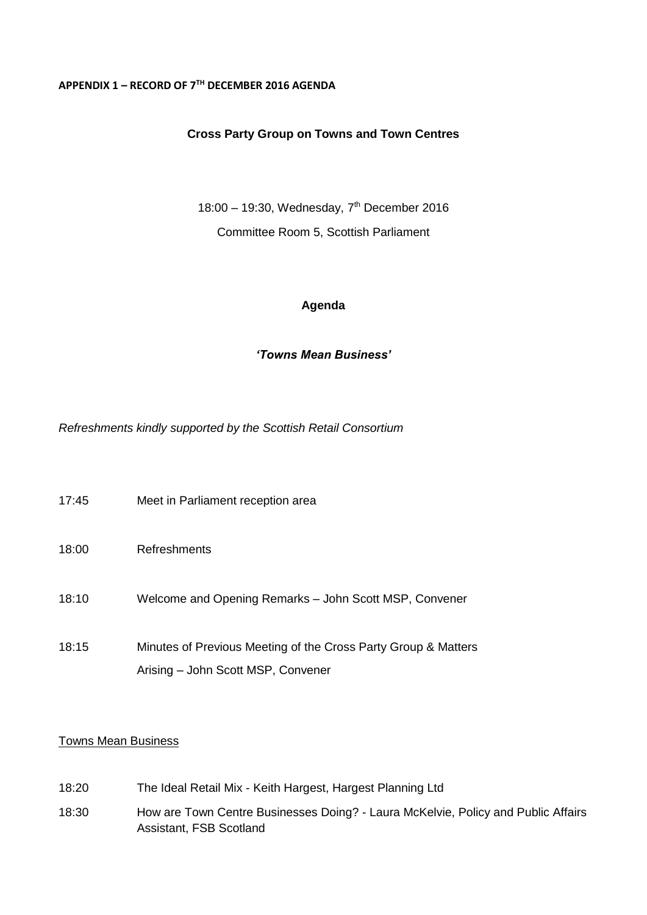#### **APPENDIX 1 – RECORD OF 7TH DECEMBER 2016 AGENDA**

### **Cross Party Group on Towns and Town Centres**

18:00 – 19:30, Wednesday,  $7<sup>th</sup>$  December 2016 Committee Room 5, Scottish Parliament

### **Agenda**

# *'Towns Mean Business'*

*Refreshments kindly supported by the Scottish Retail Consortium*

| 17:45 | Meet in Parliament reception area                                                                    |
|-------|------------------------------------------------------------------------------------------------------|
| 18:00 | Refreshments                                                                                         |
| 18:10 | Welcome and Opening Remarks - John Scott MSP, Convener                                               |
| 18:15 | Minutes of Previous Meeting of the Cross Party Group & Matters<br>Arising - John Scott MSP, Convener |

### Towns Mean Business

- 18:20 The Ideal Retail Mix Keith Hargest, Hargest Planning Ltd
- 18:30 How are Town Centre Businesses Doing? Laura McKelvie, Policy and Public Affairs Assistant, FSB Scotland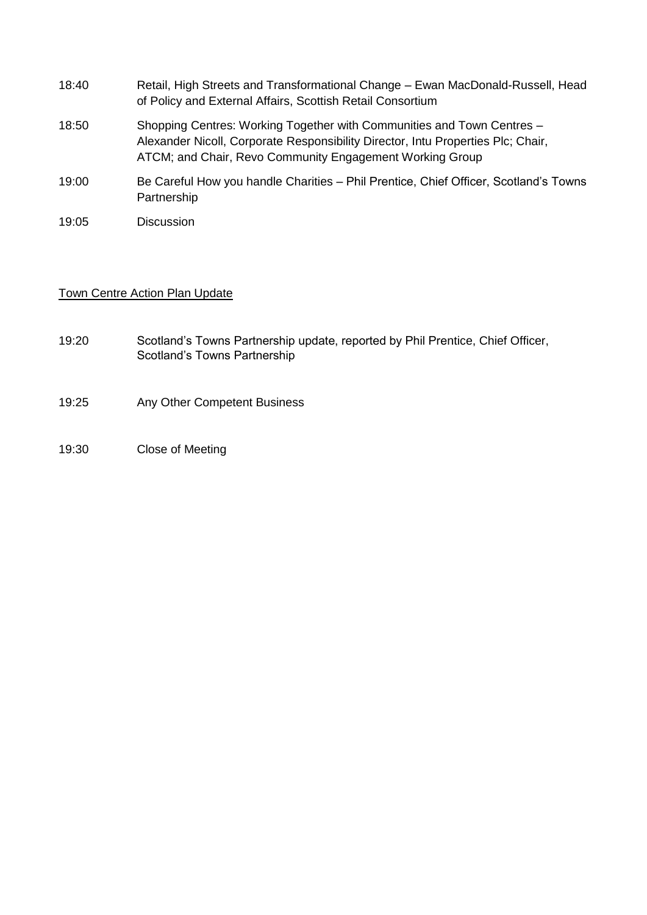- 18:40 Retail, High Streets and Transformational Change Ewan MacDonald-Russell, Head of Policy and External Affairs, Scottish Retail Consortium
- 18:50 Shopping Centres: Working Together with Communities and Town Centres Alexander Nicoll, Corporate Responsibility Director, Intu Properties Plc; Chair, ATCM; and Chair, Revo Community Engagement Working Group
- 19:00 Be Careful How you handle Charities Phil Prentice, Chief Officer, Scotland's Towns Partnership
- 19:05 Discussion

### Town Centre Action Plan Update

- 19:20 Scotland's Towns Partnership update, reported by Phil Prentice, Chief Officer, Scotland's Towns Partnership
- 19:25 Any Other Competent Business
- 19:30 Close of Meeting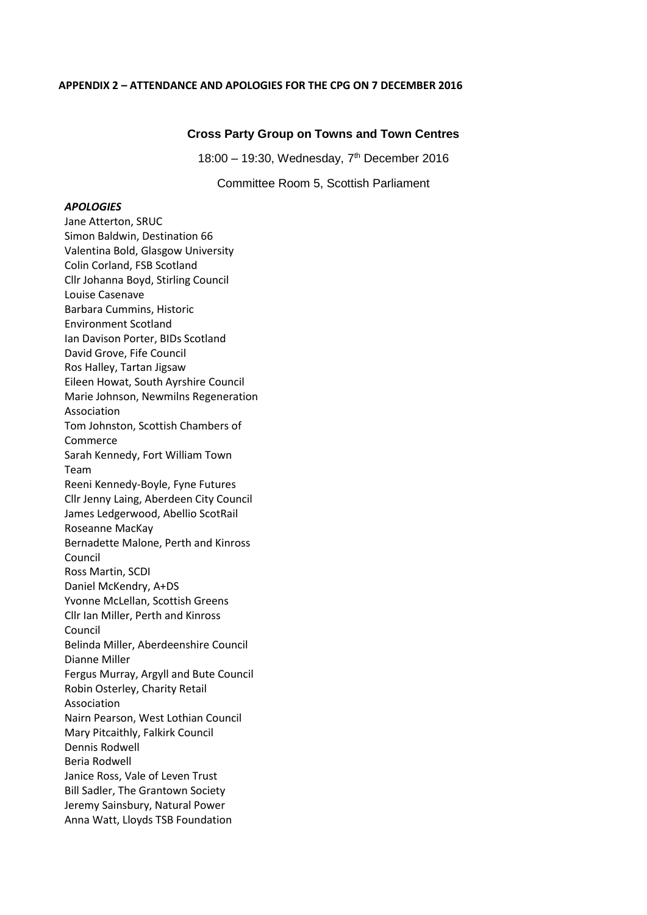#### **APPENDIX 2 – ATTENDANCE AND APOLOGIES FOR THE CPG ON 7 DECEMBER 2016**

#### **Cross Party Group on Towns and Town Centres**

18:00 – 19:30, Wednesday, 7th December 2016

Committee Room 5, Scottish Parliament

#### *APOLOGIES*

Jane Atterton, SRUC Simon Baldwin, Destination 66 Valentina Bold, Glasgow University Colin Corland, FSB Scotland Cllr Johanna Boyd, Stirling Council Louise Casenave Barbara Cummins, Historic Environment Scotland Ian Davison Porter, BIDs Scotland David Grove, Fife Council Ros Halley, Tartan Jigsaw Eileen Howat, South Ayrshire Council Marie Johnson, Newmilns Regeneration Association Tom Johnston, Scottish Chambers of Commerce Sarah Kennedy, Fort William Town Team Reeni Kennedy-Boyle, Fyne Futures Cllr Jenny Laing, Aberdeen City Council James Ledgerwood, Abellio ScotRail Roseanne MacKay Bernadette Malone, Perth and Kinross Council Ross Martin, SCDI Daniel McKendry, A+DS Yvonne McLellan, Scottish Greens Cllr Ian Miller, Perth and Kinross Council Belinda Miller, Aberdeenshire Council Dianne Miller Fergus Murray, Argyll and Bute Council Robin Osterley, Charity Retail Association Nairn Pearson, West Lothian Council Mary Pitcaithly, Falkirk Council Dennis Rodwell Beria Rodwell Janice Ross, Vale of Leven Trust Bill Sadler, The Grantown Society Jeremy Sainsbury, Natural Power Anna Watt, Lloyds TSB Foundation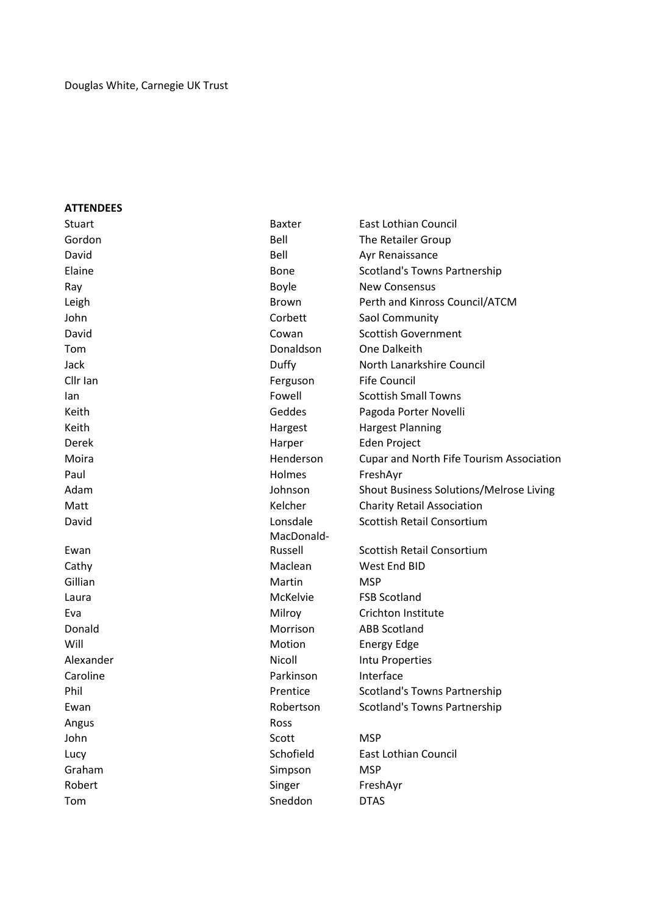### **ATTENDEES**

| Stuart    | <b>Baxter</b> | <b>East Lothian Council</b>                    |
|-----------|---------------|------------------------------------------------|
| Gordon    | Bell          | <b>The Retailer Group</b>                      |
| David     | Bell          | Ayr Renaissance                                |
| Elaine    | <b>Bone</b>   | Scotland's Towns Partnership                   |
| Ray       | Boyle         | <b>New Consensus</b>                           |
| Leigh     | Brown         | Perth and Kinross Council/ATCM                 |
| John      | Corbett       | Saol Community                                 |
| David     | Cowan         | <b>Scottish Government</b>                     |
| Tom       | Donaldson     | One Dalkeith                                   |
| Jack      | Duffy         | North Lanarkshire Council                      |
| Cllr Ian  | Ferguson      | <b>Fife Council</b>                            |
| lan       | Fowell        | <b>Scottish Small Towns</b>                    |
| Keith     | Geddes        | Pagoda Porter Novelli                          |
| Keith     | Hargest       | <b>Hargest Planning</b>                        |
| Derek     | Harper        | Eden Project                                   |
| Moira     | Henderson     | Cupar and North Fife Tourism Association       |
| Paul      | <b>Holmes</b> | FreshAyr                                       |
| Adam      | Johnson       | <b>Shout Business Solutions/Melrose Living</b> |
| Matt      | Kelcher       | <b>Charity Retail Association</b>              |
| David     | Lonsdale      | Scottish Retail Consortium                     |
|           | MacDonald-    |                                                |
| Ewan      | Russell       | Scottish Retail Consortium                     |
| Cathy     | Maclean       | West End BID                                   |
| Gillian   | Martin        | <b>MSP</b>                                     |
| Laura     | McKelvie      | <b>FSB Scotland</b>                            |
| Eva       | Milroy        | Crichton Institute                             |
| Donald    | Morrison      | <b>ABB Scotland</b>                            |
| Will      | Motion        | <b>Energy Edge</b>                             |
| Alexander | Nicoll        | Intu Properties                                |
| Caroline  | Parkinson     | Interface                                      |
| Phil      | Prentice      | <b>Scotland's Towns Partnership</b>            |
| Ewan      | Robertson     | Scotland's Towns Partnership                   |
| Angus     | Ross          |                                                |
| John      | Scott         | <b>MSP</b>                                     |
| Lucy      | Schofield     | <b>East Lothian Council</b>                    |
| Graham    | Simpson       | <b>MSP</b>                                     |
| Robert    | Singer        | FreshAyr                                       |
| Tom       | Sneddon       | <b>DTAS</b>                                    |